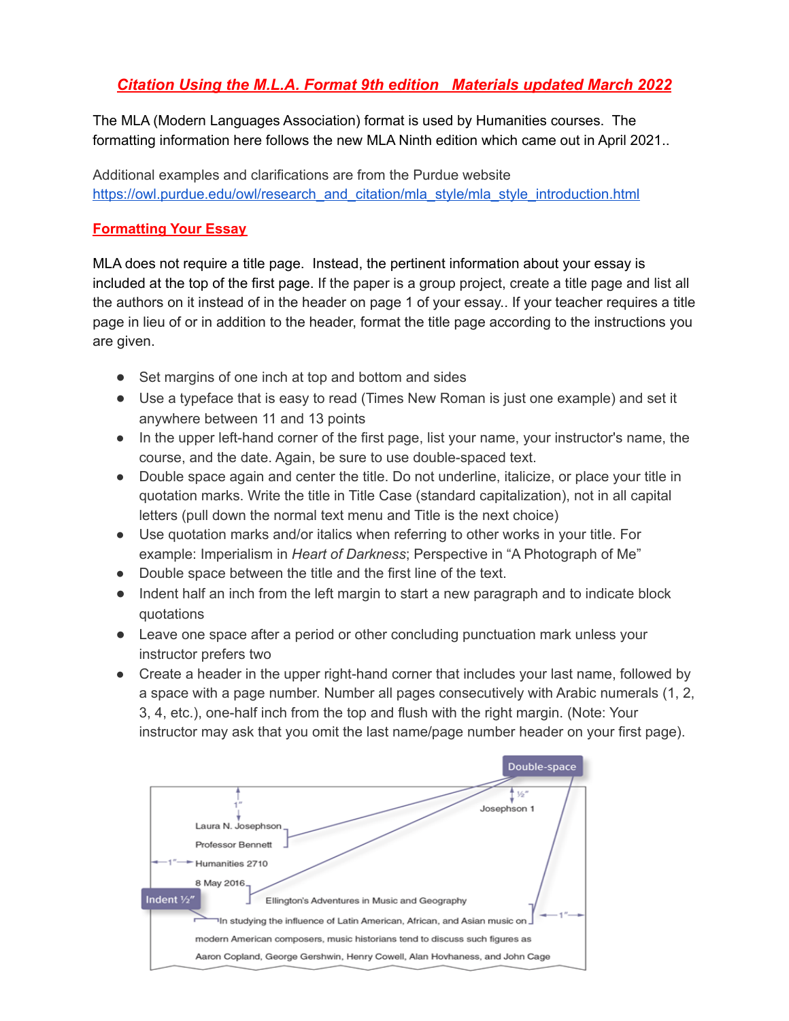# *Citation Using the M.L.A. Format 9th edition Materials updated March 2022*

The MLA (Modern Languages Association) format is used by Humanities courses. The formatting information here follows the new MLA Ninth edition which came out in April 2021..

Additional examples and clarifications are from the Purdue website [https://owl.purdue.edu/owl/research\\_and\\_citation/mla\\_style/mla\\_style\\_introduction.html](https://owl.purdue.edu/owl/research_and_citation/mla_style/mla_style_introduction.html)

## **Formatting Your Essay**

MLA does not require a title page. Instead, the pertinent information about your essay is included at the top of the first page. If the paper is a group project, create a title page and list all the authors on it instead of in the header on page 1 of your essay.. If your teacher requires a title page in lieu of or in addition to the header, format the title page according to the instructions you are given.

- Set margins of one inch at top and bottom and sides
- Use a typeface that is easy to read (Times New Roman is just one example) and set it anywhere between 11 and 13 points
- In the upper left-hand corner of the first page, list your name, your instructor's name, the course, and the date. Again, be sure to use double-spaced text.
- Double space again and center the title. Do not underline, italicize, or place your title in quotation marks. Write the title in Title Case (standard capitalization), not in all capital letters (pull down the normal text menu and Title is the next choice)
- Use quotation marks and/or italics when referring to other works in your title. For example: Imperialism in *Heart of Darkness*; Perspective in "A Photograph of Me"
- Double space between the title and the first line of the text.
- Indent half an inch from the left margin to start a new paragraph and to indicate block quotations
- Leave one space after a period or other concluding punctuation mark unless your instructor prefers two
- Create a header in the upper right-hand corner that includes your last name, followed by a space with a page number. Number all pages consecutively with Arabic numerals (1, 2, 3, 4, etc.), one-half inch from the top and flush with the right margin. (Note: Your instructor may ask that you omit the last name/page number header on your first page).

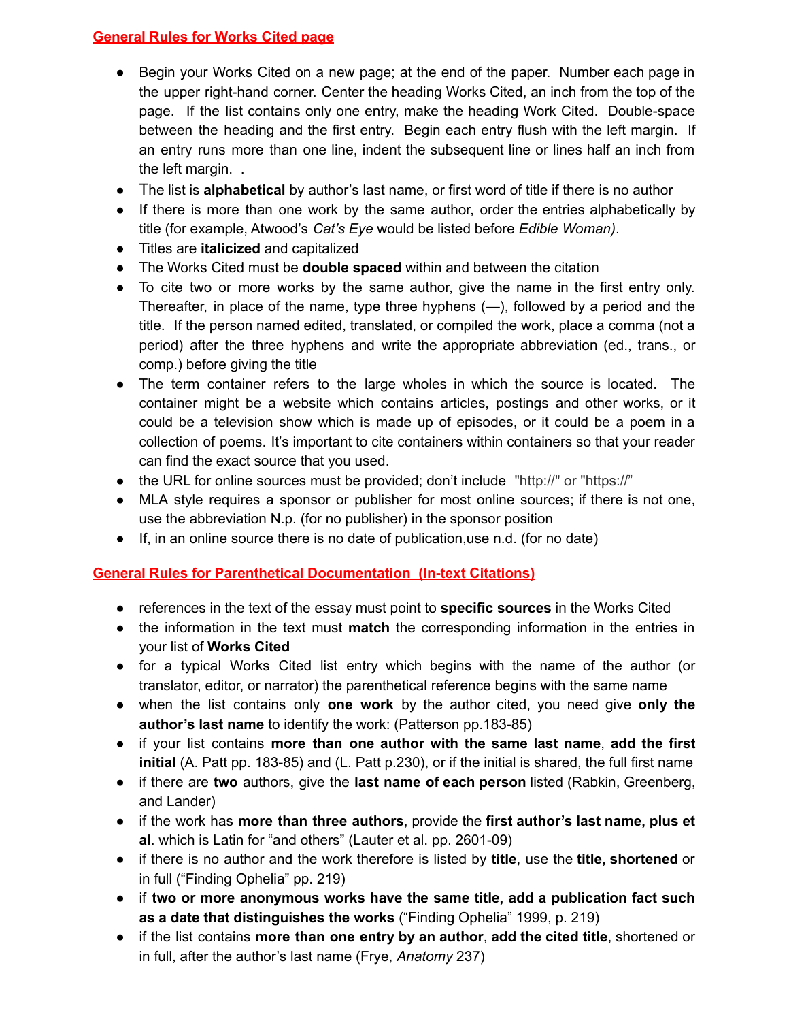## **General Rules for Works Cited page**

- Begin your Works Cited on a new page; at the end of the paper. Number each page in the upper right-hand corner. Center the heading Works Cited, an inch from the top of the page. If the list contains only one entry, make the heading Work Cited. Double-space between the heading and the first entry. Begin each entry flush with the left margin. If an entry runs more than one line, indent the subsequent line or lines half an inch from the left margin. .
- The list is **alphabetical** by author's last name, or first word of title if there is no author
- If there is more than one work by the same author, order the entries alphabetically by title (for example, Atwood's *Cat's Eye* would be listed before *Edible Woman)*.
- Titles are **italicized** and capitalized
- The Works Cited must be **double spaced** within and between the citation
- To cite two or more works by the same author, give the name in the first entry only. Thereafter, in place of the name, type three hyphens (—), followed by a period and the title. If the person named edited, translated, or compiled the work, place a comma (not a period) after the three hyphens and write the appropriate abbreviation (ed., trans., or comp.) before giving the title
- The term container refers to the large wholes in which the source is located. The container might be a website which contains articles, postings and other works, or it could be a television show which is made up of episodes, or it could be a poem in a collection of poems. It's important to cite containers within containers so that your reader can find the exact source that you used.
- the URL for online sources must be provided; don't include "http://" or "https://"
- MLA style requires a sponsor or publisher for most online sources; if there is not one, use the abbreviation N.p. (for no publisher) in the sponsor position
- If, in an online source there is no date of publication,use n.d. (for no date)

## **General Rules for Parenthetical Documentation (In-text Citations)**

- references in the text of the essay must point to **specific sources** in the Works Cited
- the information in the text must **match** the corresponding information in the entries in your list of **Works Cited**
- for a typical Works Cited list entry which begins with the name of the author (or translator, editor, or narrator) the parenthetical reference begins with the same name
- when the list contains only **one work** by the author cited, you need give **only the author's last name** to identify the work: (Patterson pp.183-85)
- if your list contains **more than one author with the same last name**, **add the first initial** (A. Patt pp. 183-85) and (L. Patt p.230), or if the initial is shared, the full first name
- if there are **two** authors, give the **last name of each person** listed (Rabkin, Greenberg, and Lander)
- if the work has **more than three authors**, provide the **first author's last name, plus et al**. which is Latin for "and others" (Lauter et al. pp. 2601-09)
- if there is no author and the work therefore is listed by **title**, use the **title, shortened** or in full ("Finding Ophelia" pp. 219)
- if **two or more anonymous works have the same title, add a publication fact such as a date that distinguishes the works** ("Finding Ophelia" 1999, p. 219)
- if the list contains **more than one entry by an author**, **add the cited title**, shortened or in full, after the author's last name (Frye, *Anatomy* 237)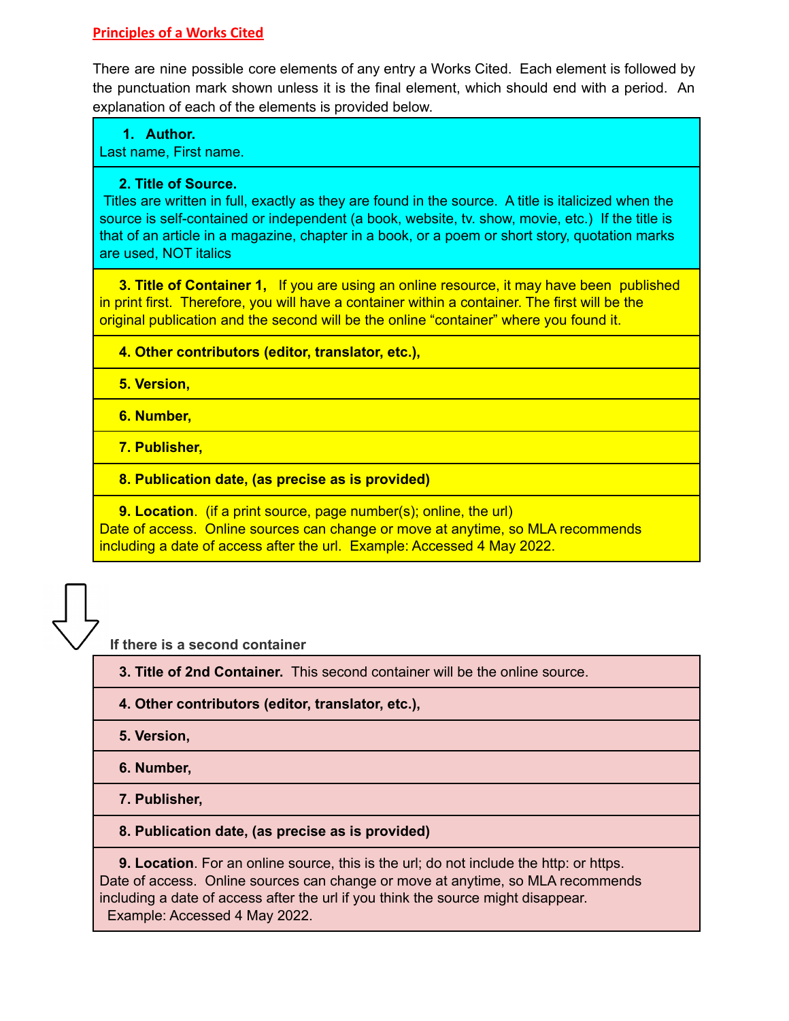## **Principles of a Works Cited**

There are nine possible core elements of any entry a Works Cited. Each element is followed by the punctuation mark shown unless it is the final element, which should end with a period. An explanation of each of the elements is provided below.

## **1. Author.**

Last name, First name.

### **2. Title of Source.**

Titles are written in full, exactly as they are found in the source. A title is italicized when the source is self-contained or independent (a book, website, tv. show, movie, etc.) If the title is that of an article in a magazine, chapter in a book, or a poem or short story, quotation marks are used, NOT italics

**3. Title of Container 1,** If you are using an online resource, it may have been published in print first. Therefore, you will have a container within a container. The first will be the original publication and the second will be the online "container" where you found it.

## **4. Other contributors (editor, translator, etc.),**

**5. Version,**

**6. Number,**

**7. Publisher,**

## **8. Publication date, (as precise as is provided)**

**9. Location.** (if a print source, page number(s); online, the url) Date of access. Online sources can change or move at anytime, so MLA recommends including a date of access after the url. Example: Accessed 4 May 2022.

**If there is a second container**

**3. Title of 2nd Container.** This second container will be the online source.

## **4. Other contributors (editor, translator, etc.),**

**5. Version,**

**6. Number,**

**7. Publisher,**

## **8. Publication date, (as precise as is provided)**

**9. Location**. For an online source, this is the url; do not include the http: or https. Date of access. Online sources can change or move at anytime, so MLA recommends including a date of access after the url if you think the source might disappear. Example: Accessed 4 May 2022.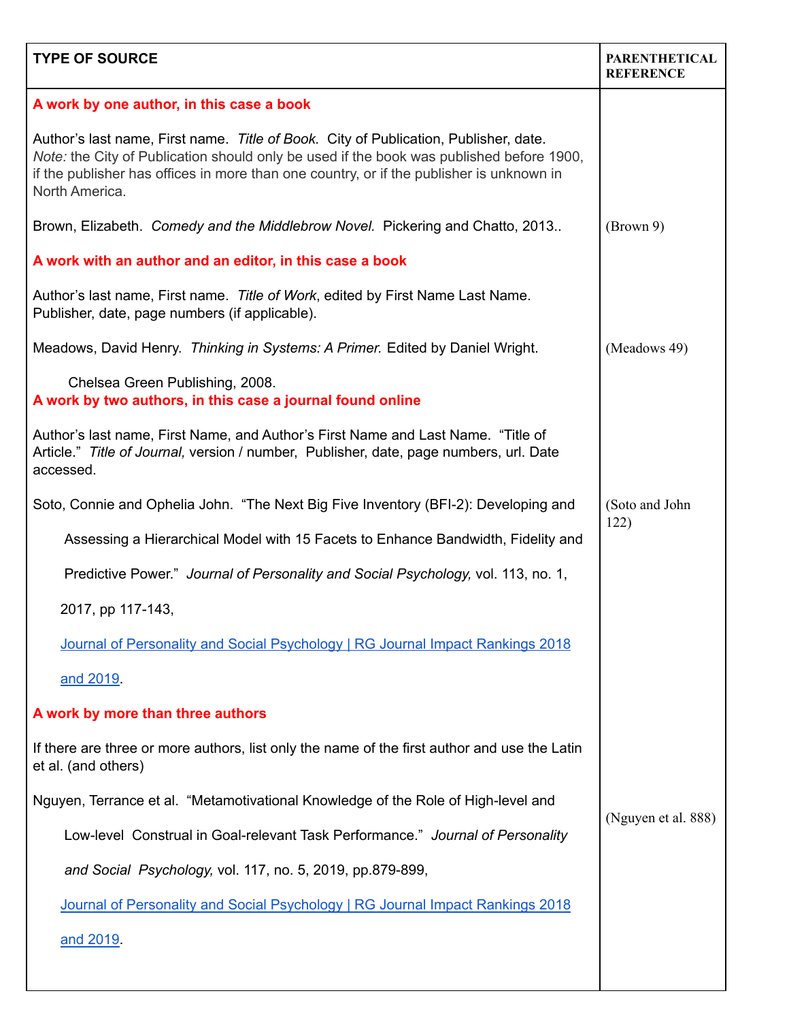| <b>TYPE OF SOURCE</b>                                                                                                                                                                                                                                                                          | <b>PARENTHETICAL</b><br><b>REFERENCE</b> |
|------------------------------------------------------------------------------------------------------------------------------------------------------------------------------------------------------------------------------------------------------------------------------------------------|------------------------------------------|
| A work by one author, in this case a book                                                                                                                                                                                                                                                      |                                          |
| Author's last name, First name. Title of Book. City of Publication, Publisher, date.<br>Note: the City of Publication should only be used if the book was published before 1900,<br>if the publisher has offices in more than one country, or if the publisher is unknown in<br>North America. |                                          |
| Brown, Elizabeth. Comedy and the Middlebrow Novel. Pickering and Chatto, 2013                                                                                                                                                                                                                  | (Brown 9)                                |
| A work with an author and an editor, in this case a book                                                                                                                                                                                                                                       |                                          |
| Author's last name, First name. Title of Work, edited by First Name Last Name.<br>Publisher, date, page numbers (if applicable).                                                                                                                                                               |                                          |
| Meadows, David Henry. Thinking in Systems: A Primer. Edited by Daniel Wright.                                                                                                                                                                                                                  | (Meadows 49)                             |
| Chelsea Green Publishing, 2008.<br>A work by two authors, in this case a journal found online                                                                                                                                                                                                  |                                          |
| Author's last name, First Name, and Author's First Name and Last Name. "Title of<br>Article." Title of Journal, version / number, Publisher, date, page numbers, url. Date<br>accessed.                                                                                                        |                                          |
| Soto, Connie and Ophelia John. "The Next Big Five Inventory (BFI-2): Developing and                                                                                                                                                                                                            | (Soto and John<br>122)                   |
| Assessing a Hierarchical Model with 15 Facets to Enhance Bandwidth, Fidelity and                                                                                                                                                                                                               |                                          |
| Predictive Power." Journal of Personality and Social Psychology, vol. 113, no. 1,                                                                                                                                                                                                              |                                          |
| 2017, pp 117-143,                                                                                                                                                                                                                                                                              |                                          |
| Journal of Personality and Social Psychology   RG Journal Impact Rankings 2018                                                                                                                                                                                                                 |                                          |
| and 2019.                                                                                                                                                                                                                                                                                      |                                          |
| A work by more than three authors                                                                                                                                                                                                                                                              |                                          |
| If there are three or more authors, list only the name of the first author and use the Latin<br>et al. (and others)                                                                                                                                                                            |                                          |
| Nguyen, Terrance et al. "Metamotivational Knowledge of the Role of High-level and                                                                                                                                                                                                              |                                          |
| Low-level Construal in Goal-relevant Task Performance." Journal of Personality                                                                                                                                                                                                                 | (Nguyen et al. 888)                      |
| and Social Psychology, vol. 117, no. 5, 2019, pp.879-899,                                                                                                                                                                                                                                      |                                          |
| Journal of Personality and Social Psychology   RG Journal Impact Rankings 2018                                                                                                                                                                                                                 |                                          |
| and 2019.                                                                                                                                                                                                                                                                                      |                                          |
|                                                                                                                                                                                                                                                                                                |                                          |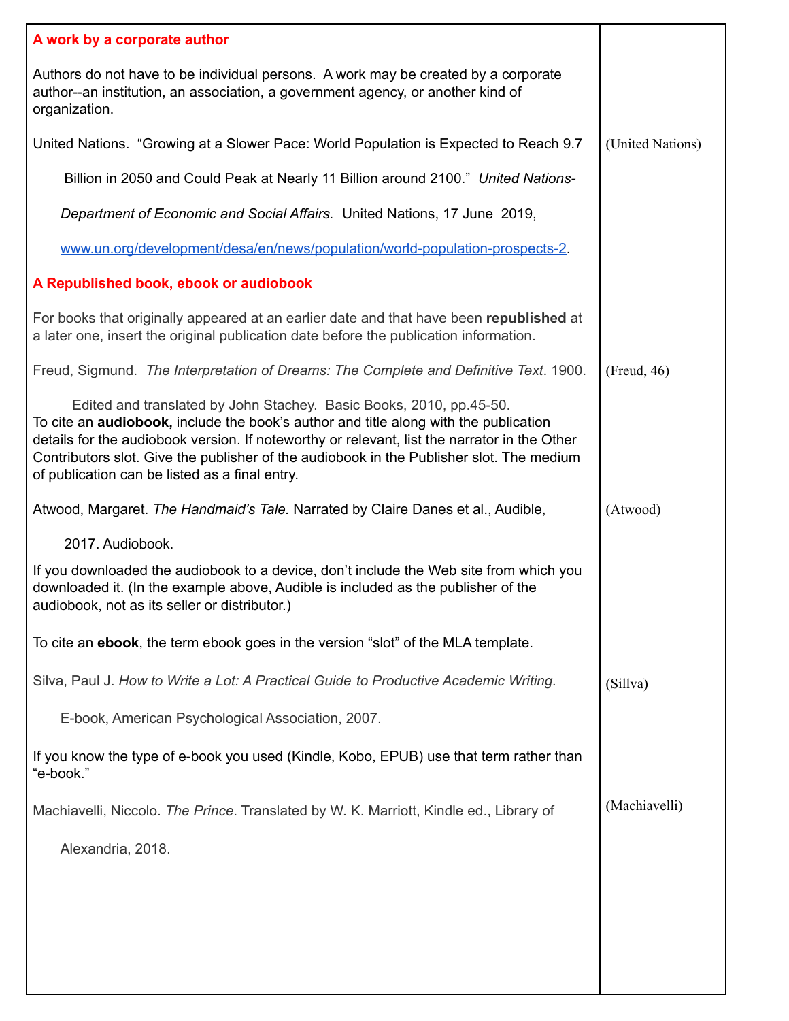| A work by a corporate author                                                                                                                                                                                                                                                                                                                                                                                      |                  |
|-------------------------------------------------------------------------------------------------------------------------------------------------------------------------------------------------------------------------------------------------------------------------------------------------------------------------------------------------------------------------------------------------------------------|------------------|
| Authors do not have to be individual persons. A work may be created by a corporate<br>author--an institution, an association, a government agency, or another kind of<br>organization.                                                                                                                                                                                                                            |                  |
| United Nations. "Growing at a Slower Pace: World Population is Expected to Reach 9.7                                                                                                                                                                                                                                                                                                                              | (United Nations) |
| Billion in 2050 and Could Peak at Nearly 11 Billion around 2100." United Nations-                                                                                                                                                                                                                                                                                                                                 |                  |
| Department of Economic and Social Affairs. United Nations, 17 June 2019,                                                                                                                                                                                                                                                                                                                                          |                  |
| www.un.org/development/desa/en/news/population/world-population-prospects-2.                                                                                                                                                                                                                                                                                                                                      |                  |
| A Republished book, ebook or audiobook                                                                                                                                                                                                                                                                                                                                                                            |                  |
| For books that originally appeared at an earlier date and that have been republished at<br>a later one, insert the original publication date before the publication information.                                                                                                                                                                                                                                  |                  |
| Freud, Sigmund. The Interpretation of Dreams: The Complete and Definitive Text. 1900.                                                                                                                                                                                                                                                                                                                             | (Freud, 46)      |
| Edited and translated by John Stachey. Basic Books, 2010, pp.45-50.<br>To cite an <b>audiobook</b> , include the book's author and title along with the publication<br>details for the audiobook version. If noteworthy or relevant, list the narrator in the Other<br>Contributors slot. Give the publisher of the audiobook in the Publisher slot. The medium<br>of publication can be listed as a final entry. |                  |
| Atwood, Margaret. The Handmaid's Tale. Narrated by Claire Danes et al., Audible,                                                                                                                                                                                                                                                                                                                                  | (Atwood)         |
| 2017. Audiobook.                                                                                                                                                                                                                                                                                                                                                                                                  |                  |
| If you downloaded the audiobook to a device, don't include the Web site from which you<br>downloaded it. (In the example above, Audible is included as the publisher of the<br>audiobook, not as its seller or distributor.)                                                                                                                                                                                      |                  |
| To cite an ebook, the term ebook goes in the version "slot" of the MLA template.                                                                                                                                                                                                                                                                                                                                  |                  |
| Silva, Paul J. How to Write a Lot: A Practical Guide to Productive Academic Writing.                                                                                                                                                                                                                                                                                                                              | (Sillva)         |
| E-book, American Psychological Association, 2007.                                                                                                                                                                                                                                                                                                                                                                 |                  |
| If you know the type of e-book you used (Kindle, Kobo, EPUB) use that term rather than<br>"e-book."                                                                                                                                                                                                                                                                                                               |                  |
| Machiavelli, Niccolo. The Prince. Translated by W. K. Marriott, Kindle ed., Library of                                                                                                                                                                                                                                                                                                                            | (Machiavelli)    |
| Alexandria, 2018.                                                                                                                                                                                                                                                                                                                                                                                                 |                  |
|                                                                                                                                                                                                                                                                                                                                                                                                                   |                  |
|                                                                                                                                                                                                                                                                                                                                                                                                                   |                  |
|                                                                                                                                                                                                                                                                                                                                                                                                                   |                  |
|                                                                                                                                                                                                                                                                                                                                                                                                                   |                  |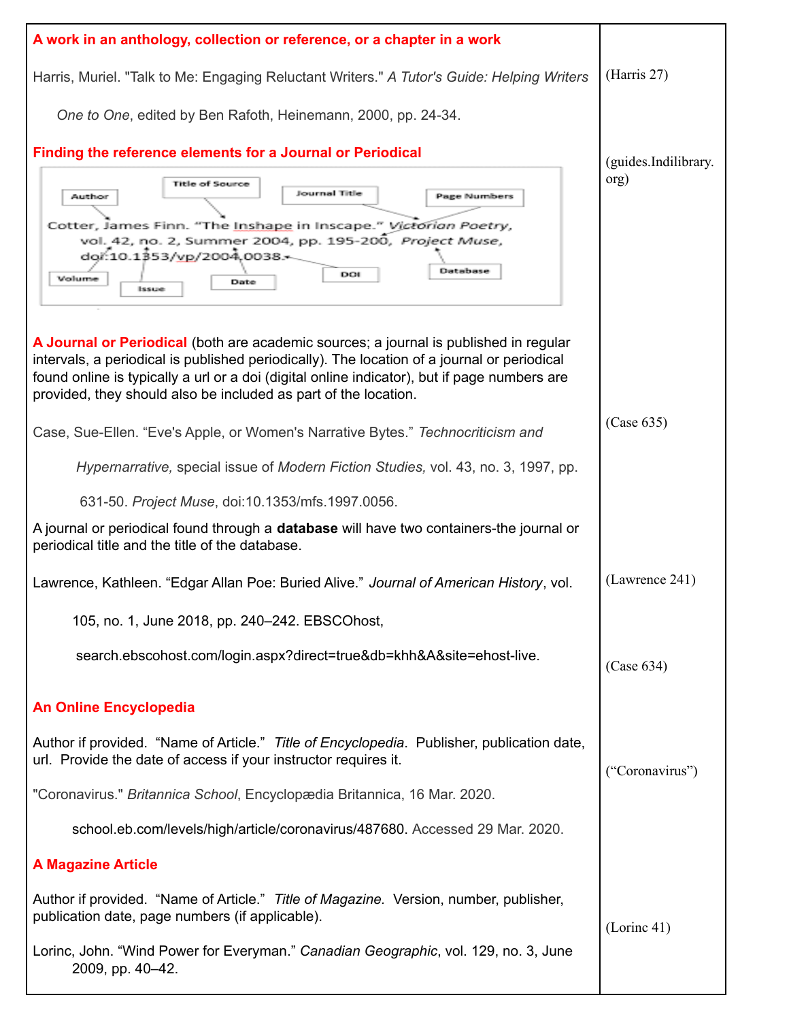| A work in an anthology, collection or reference, or a chapter in a work                                                                                                                                                                                                                                                                                 |                      |
|---------------------------------------------------------------------------------------------------------------------------------------------------------------------------------------------------------------------------------------------------------------------------------------------------------------------------------------------------------|----------------------|
| Harris, Muriel. "Talk to Me: Engaging Reluctant Writers." A Tutor's Guide: Helping Writers                                                                                                                                                                                                                                                              | (Harris 27)          |
| One to One, edited by Ben Rafoth, Heinemann, 2000, pp. 24-34.                                                                                                                                                                                                                                                                                           |                      |
| Finding the reference elements for a Journal or Periodical                                                                                                                                                                                                                                                                                              | (guides.Indilibrary. |
| <b>Title of Source</b><br>Journal Title<br><b>Page Numbers</b><br>Author<br>Cotter, James Finn. "The Inshape in Inscape." Victorian Poetry,<br>vol. 42, no. 2, Summer 2004, pp. 195-200, Project Muse,<br>dor:10.1353/vp/2004.0038.<br>Database<br>DOI<br>Volume<br>Date<br>Issue                                                                       | org)                 |
| A Journal or Periodical (both are academic sources; a journal is published in regular<br>intervals, a periodical is published periodically). The location of a journal or periodical<br>found online is typically a url or a doi (digital online indicator), but if page numbers are<br>provided, they should also be included as part of the location. |                      |
| Case, Sue-Ellen. "Eve's Apple, or Women's Narrative Bytes." Technocriticism and                                                                                                                                                                                                                                                                         | (Case 635)           |
| Hypernarrative, special issue of Modern Fiction Studies, vol. 43, no. 3, 1997, pp.                                                                                                                                                                                                                                                                      |                      |
| 631-50. Project Muse, doi:10.1353/mfs.1997.0056.                                                                                                                                                                                                                                                                                                        |                      |
| A journal or periodical found through a <b>database</b> will have two containers-the journal or<br>periodical title and the title of the database.                                                                                                                                                                                                      |                      |
| Lawrence, Kathleen. "Edgar Allan Poe: Buried Alive." Journal of American History, vol.                                                                                                                                                                                                                                                                  | (Lawrence 241)       |
| 105, no. 1, June 2018, pp. 240-242. EBSCOhost,                                                                                                                                                                                                                                                                                                          |                      |
| search.ebscohost.com/login.aspx?direct=true&db=khh&A&site=ehost-live.                                                                                                                                                                                                                                                                                   | (Case 634)           |
| <b>An Online Encyclopedia</b>                                                                                                                                                                                                                                                                                                                           |                      |
| Author if provided. "Name of Article." Title of Encyclopedia. Publisher, publication date,<br>url. Provide the date of access if your instructor requires it.                                                                                                                                                                                           | ("Coronavirus")      |
| "Coronavirus." Britannica School, Encyclopædia Britannica, 16 Mar. 2020.                                                                                                                                                                                                                                                                                |                      |
| school.eb.com/levels/high/article/coronavirus/487680. Accessed 29 Mar. 2020.                                                                                                                                                                                                                                                                            |                      |
| <b>A Magazine Article</b>                                                                                                                                                                                                                                                                                                                               |                      |
| Author if provided. "Name of Article." Title of Magazine. Version, number, publisher,<br>publication date, page numbers (if applicable).                                                                                                                                                                                                                | (Lorinc 41)          |
| Lorinc, John. "Wind Power for Everyman." Canadian Geographic, vol. 129, no. 3, June<br>2009, pp. 40-42.                                                                                                                                                                                                                                                 |                      |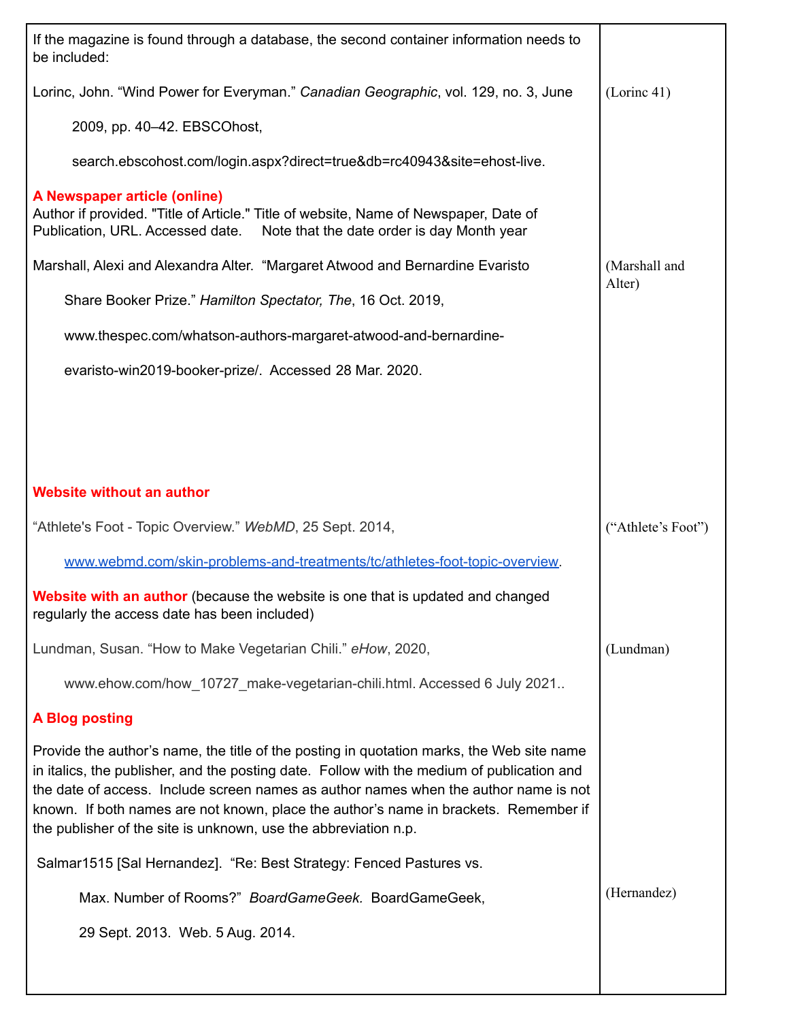| If the magazine is found through a database, the second container information needs to<br>be included:                                                                                                                                                                                                                                                                                                                                     |                    |
|--------------------------------------------------------------------------------------------------------------------------------------------------------------------------------------------------------------------------------------------------------------------------------------------------------------------------------------------------------------------------------------------------------------------------------------------|--------------------|
| Lorinc, John. "Wind Power for Everyman." Canadian Geographic, vol. 129, no. 3, June                                                                                                                                                                                                                                                                                                                                                        | (Lorinc 41)        |
| 2009, pp. 40-42. EBSCOhost,                                                                                                                                                                                                                                                                                                                                                                                                                |                    |
| search.ebscohost.com/login.aspx?direct=true&db=rc40943&site=ehost-live.                                                                                                                                                                                                                                                                                                                                                                    |                    |
| A Newspaper article (online)<br>Author if provided. "Title of Article." Title of website, Name of Newspaper, Date of<br>Publication, URL. Accessed date.<br>Note that the date order is day Month year                                                                                                                                                                                                                                     |                    |
| Marshall, Alexi and Alexandra Alter. "Margaret Atwood and Bernardine Evaristo                                                                                                                                                                                                                                                                                                                                                              | (Marshall and      |
| Share Booker Prize." Hamilton Spectator, The, 16 Oct. 2019,                                                                                                                                                                                                                                                                                                                                                                                | Alter)             |
| www.thespec.com/whatson-authors-margaret-atwood-and-bernardine-                                                                                                                                                                                                                                                                                                                                                                            |                    |
| evaristo-win2019-booker-prize/. Accessed 28 Mar. 2020.                                                                                                                                                                                                                                                                                                                                                                                     |                    |
|                                                                                                                                                                                                                                                                                                                                                                                                                                            |                    |
|                                                                                                                                                                                                                                                                                                                                                                                                                                            |                    |
|                                                                                                                                                                                                                                                                                                                                                                                                                                            |                    |
| <b>Website without an author</b>                                                                                                                                                                                                                                                                                                                                                                                                           |                    |
| "Athlete's Foot - Topic Overview." WebMD, 25 Sept. 2014,                                                                                                                                                                                                                                                                                                                                                                                   | ("Athlete's Foot") |
| www.webmd.com/skin-problems-and-treatments/tc/athletes-foot-topic-overview.                                                                                                                                                                                                                                                                                                                                                                |                    |
| <b>Website with an author</b> (because the website is one that is updated and changed<br>regularly the access date has been included)                                                                                                                                                                                                                                                                                                      |                    |
| Lundman, Susan. "How to Make Vegetarian Chili." eHow, 2020,                                                                                                                                                                                                                                                                                                                                                                                |                    |
|                                                                                                                                                                                                                                                                                                                                                                                                                                            | (Lundman)          |
| www.ehow.com/how_10727_make-vegetarian-chili.html. Accessed 6 July 2021                                                                                                                                                                                                                                                                                                                                                                    |                    |
| <b>A Blog posting</b>                                                                                                                                                                                                                                                                                                                                                                                                                      |                    |
| Provide the author's name, the title of the posting in quotation marks, the Web site name<br>in italics, the publisher, and the posting date. Follow with the medium of publication and<br>the date of access. Include screen names as author names when the author name is not<br>known. If both names are not known, place the author's name in brackets. Remember if<br>the publisher of the site is unknown, use the abbreviation n.p. |                    |
| Salmar1515 [Sal Hernandez]. "Re: Best Strategy: Fenced Pastures vs.                                                                                                                                                                                                                                                                                                                                                                        |                    |
| Max. Number of Rooms?" BoardGameGeek. BoardGameGeek,                                                                                                                                                                                                                                                                                                                                                                                       | (Hernandez)        |
| 29 Sept. 2013. Web. 5 Aug. 2014.                                                                                                                                                                                                                                                                                                                                                                                                           |                    |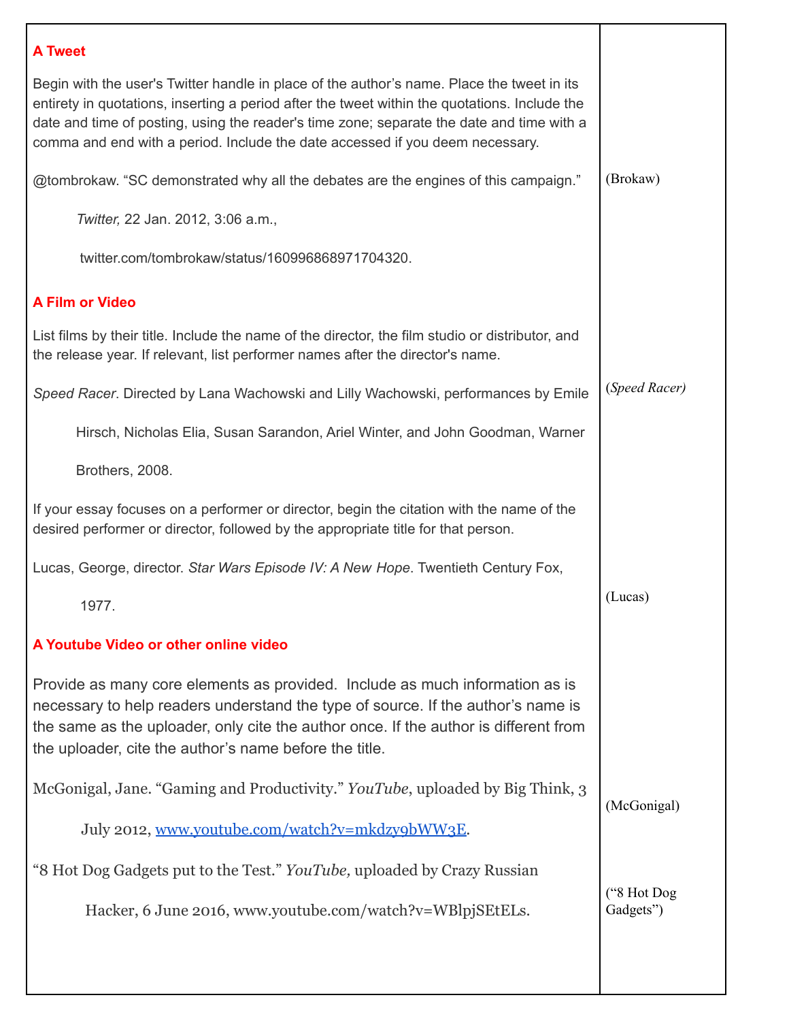| (Brokaw)                 |
|--------------------------|
|                          |
|                          |
|                          |
|                          |
|                          |
|                          |
|                          |
| (Speed Racer)            |
|                          |
|                          |
|                          |
|                          |
| (Lucas)                  |
|                          |
|                          |
| (McGonigal)              |
|                          |
|                          |
| ("8 Hot Dog<br>Gadgets") |
|                          |
|                          |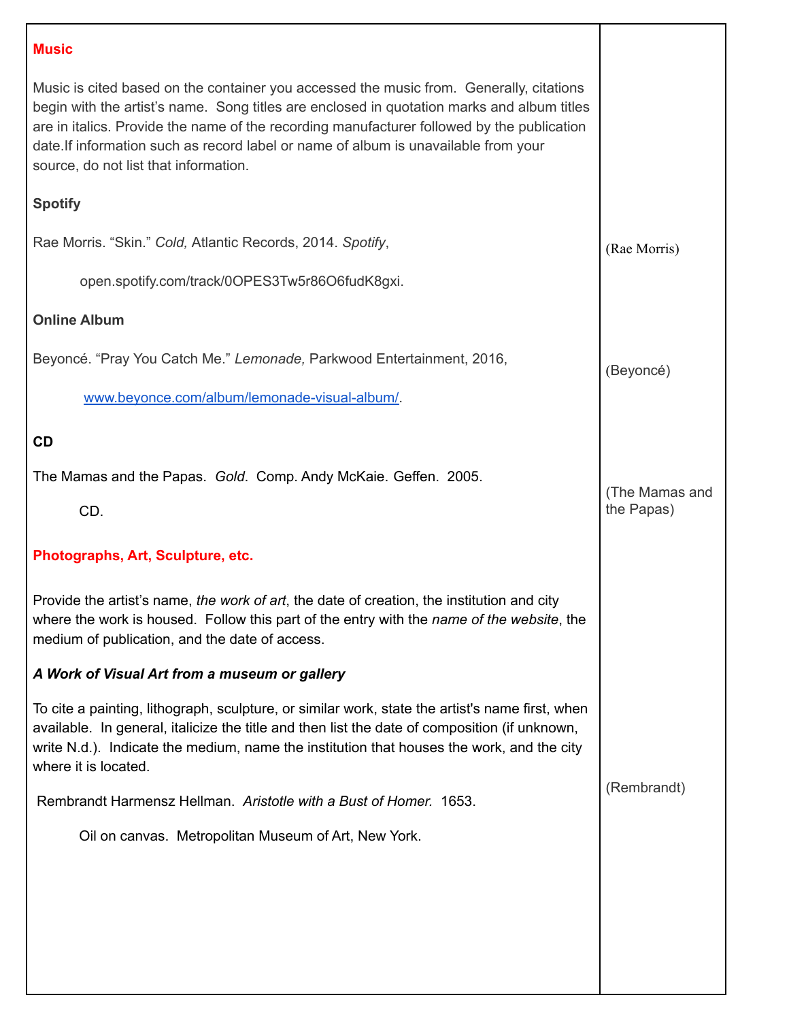# **Music** Music is cited based on the container you accessed the music from. Generally, citations begin with the artist's name. Song titles are enclosed in quotation marks and album titles are in italics. Provide the name of the recording manufacturer followed by the publication date.If information such as record label or name of album is unavailable from your source, do not list that information. **Spotify** Rae Morris. "Skin." *Cold,* Atlantic Records, 2014. *Spotify*, open.spotify.com/track/0OPES3Tw5r86O6fudK8gxi. **Online Album** Beyoncé. "Pray You Catch Me." *Lemonade,* Parkwood Entertainment, 2016, [www.beyonce.com/album/lemonade-visual-album/.](http://www.beyonce.com/album/lemonade-visual-album/) **CD** The Mamas and the Papas. *Gold*. Comp. Andy McKaie. Geffen. 2005. CD. **Photographs, Art, Sculpture, etc.** Provide the artist's name, *the work of art*, the date of creation, the institution and city where the work is housed. Follow this part of the entry with the *name of the website*, the medium of publication, and the date of access. *A Work of Visual Art from a museum or gallery* To cite a painting, lithograph, sculpture, or similar work, state the artist's name first, when available. In general, italicize the title and then list the date of composition (if unknown, write N.d.). Indicate the medium, name the institution that houses the work, and the city where it is located. Rembrandt Harmensz Hellman. *Aristotle with a Bust of Homer.* 1653. Oil on canvas. Metropolitan Museum of Art, New York. (Rae Morris) (Beyoncé) (The Mamas and the Papas) (Rembrandt)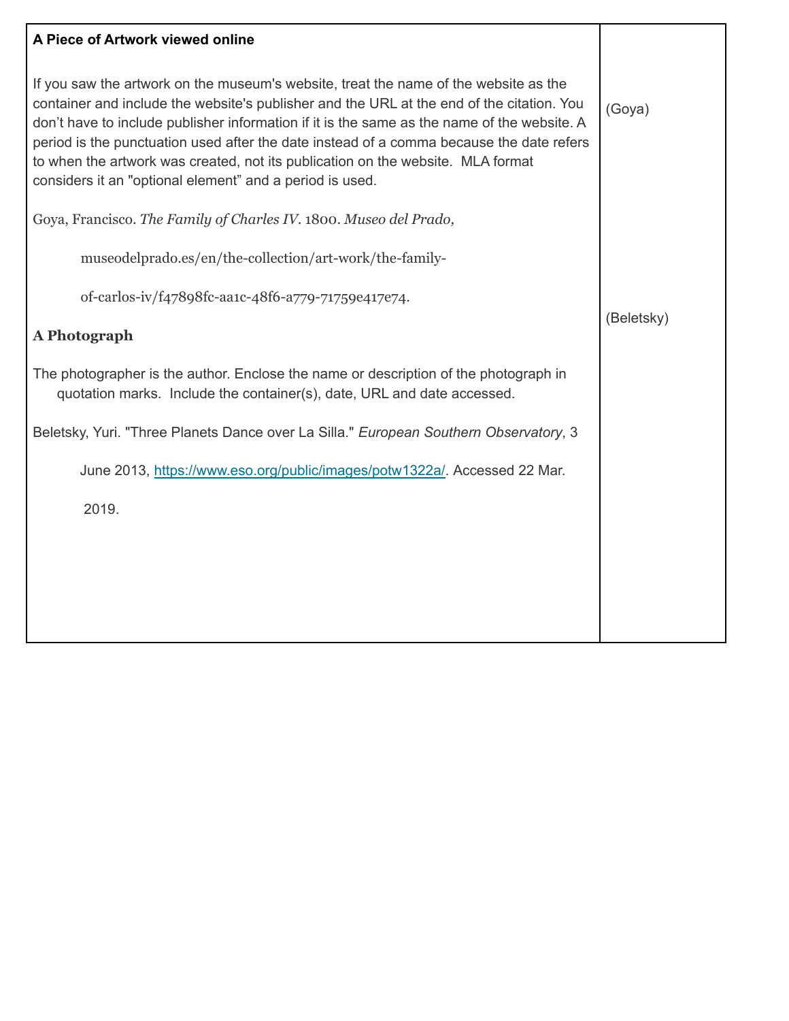## **A Piece of Artwork viewed online**

| A Piece of Artwork viewed online                                                                                                                                                                                                                                                                                                                                                                                                                                                                                            |            |
|-----------------------------------------------------------------------------------------------------------------------------------------------------------------------------------------------------------------------------------------------------------------------------------------------------------------------------------------------------------------------------------------------------------------------------------------------------------------------------------------------------------------------------|------------|
| If you saw the artwork on the museum's website, treat the name of the website as the<br>container and include the website's publisher and the URL at the end of the citation. You<br>don't have to include publisher information if it is the same as the name of the website. A<br>period is the punctuation used after the date instead of a comma because the date refers<br>to when the artwork was created, not its publication on the website. MLA format<br>considers it an "optional element" and a period is used. | (Goya)     |
| Goya, Francisco. The Family of Charles IV. 1800. Museo del Prado,                                                                                                                                                                                                                                                                                                                                                                                                                                                           |            |
| museodelprado.es/en/the-collection/art-work/the-family-                                                                                                                                                                                                                                                                                                                                                                                                                                                                     |            |
| of-carlos-iv/f47898fc-aa1c-48f6-a779-71759e417e74.                                                                                                                                                                                                                                                                                                                                                                                                                                                                          |            |
| A Photograph                                                                                                                                                                                                                                                                                                                                                                                                                                                                                                                | (Beletsky) |
| The photographer is the author. Enclose the name or description of the photograph in<br>quotation marks. Include the container(s), date, URL and date accessed.                                                                                                                                                                                                                                                                                                                                                             |            |
| Beletsky, Yuri. "Three Planets Dance over La Silla." European Southern Observatory, 3                                                                                                                                                                                                                                                                                                                                                                                                                                       |            |
| June 2013, https://www.eso.org/public/images/potw1322a/. Accessed 22 Mar.                                                                                                                                                                                                                                                                                                                                                                                                                                                   |            |
| 2019.                                                                                                                                                                                                                                                                                                                                                                                                                                                                                                                       |            |
|                                                                                                                                                                                                                                                                                                                                                                                                                                                                                                                             |            |
|                                                                                                                                                                                                                                                                                                                                                                                                                                                                                                                             |            |
|                                                                                                                                                                                                                                                                                                                                                                                                                                                                                                                             |            |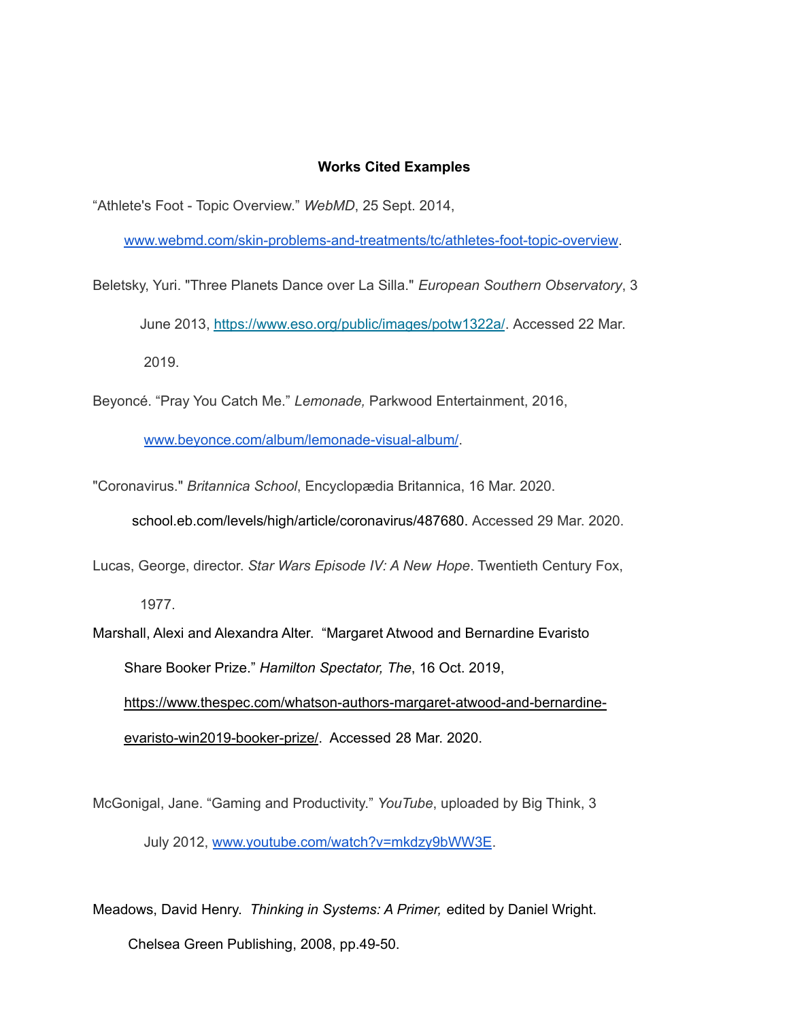#### **Works Cited Examples**

"Athlete's Foot - Topic Overview." *WebMD*, 25 Sept. 2014,

[www.webmd.com/skin-problems-and-treatments/tc/athletes-foot-topic-overview](http://www.webmd.com/skin-problems-and-treatments/tc/athletes-foot-topic-overview).

Beletsky, Yuri. "Three Planets Dance over La Silla." *European Southern Observatory*, 3 June 2013, <https://www.eso.org/public/images/potw1322a/>. Accessed 22 Mar. 2019.

Beyoncé. "Pray You Catch Me." *Lemonade,* Parkwood Entertainment, 2016,

[www.beyonce.com/album/lemonade-visual-album/](http://www.beyonce.com/album/lemonade-visual-album/).

"Coronavirus." *Britannica School*, Encyclopædia Britannica, 16 Mar. 2020. [school.eb.com/levels/high/article/coronavirus/487680](https://school.eb.com/levels/high/article/coronavirus/487680). Accessed 29 Mar. 2020.

Lucas, George, director. *Star Wars Episode IV: A New Hope*. Twentieth Century Fox,

1977.

Marshall, Alexi and Alexandra Alter. "Margaret Atwood and Bernardine Evaristo Share Booker Prize." *Hamilton Spectator, The*, 16 Oct. 2019, [https://www.thespec.com/whatson-authors-margaret-atwood-and-bernardine](https://www.thespec.com/whatson-story/9643861-in-surprise-move-authors-margaret-atwood-and-bernardine-evaristo-win-2019-booker-prize/)[evaristo-win2019-booker-prize/](https://www.thespec.com/whatson-story/9643861-in-surprise-move-authors-margaret-atwood-and-bernardine-evaristo-win-2019-booker-prize/). Accessed 28 Mar. 2020.

McGonigal, Jane. "Gaming and Productivity." *YouTube*, uploaded by Big Think, 3

July 2012, [www.youtube.com/watch?v=mkdzy9bWW3E](http://www.youtube.com/watch?v=mkdzy9bWW3E).

Meadows, David Henry. *Thinking in Systems: A Primer,* edited by Daniel Wright.

Chelsea Green Publishing, 2008, pp.49-50.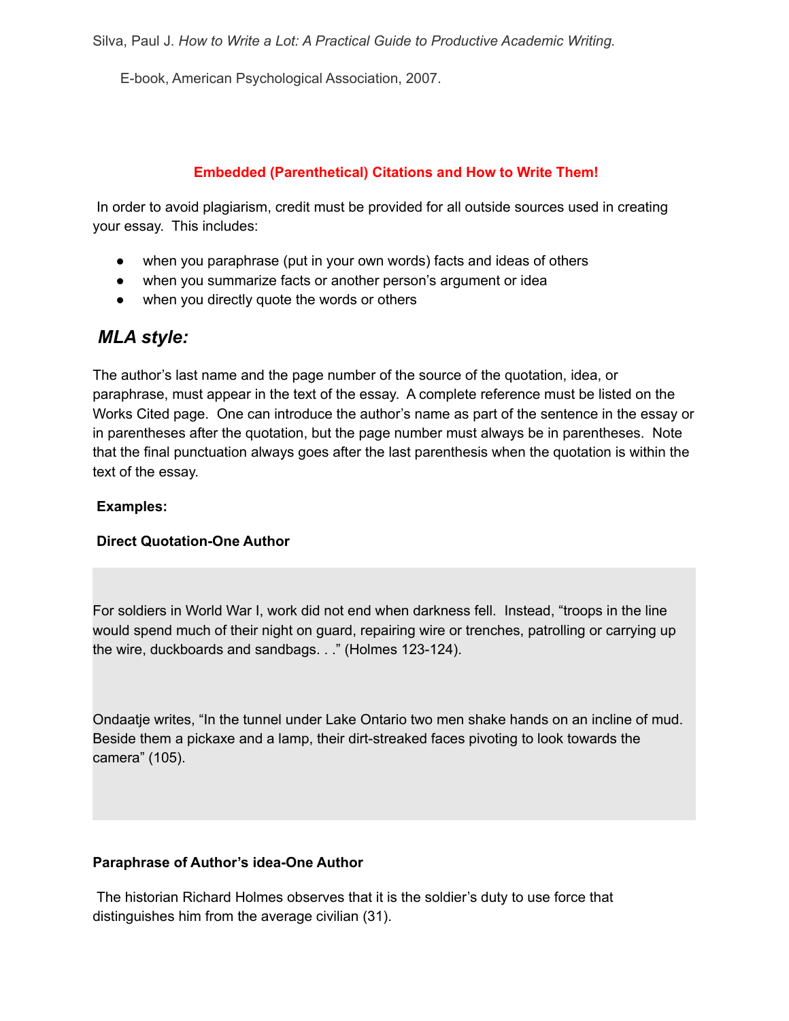E-book, American Psychological Association, 2007.

## **Embedded (Parenthetical) Citations and How to Write Them!**

In order to avoid plagiarism, credit must be provided for all outside sources used in creating your essay. This includes:

- when you paraphrase (put in your own words) facts and ideas of others
- when you summarize facts or another person's argument or idea
- when you directly quote the words or others

# *MLA style:*

The author's last name and the page number of the source of the quotation, idea, or paraphrase, must appear in the text of the essay. A complete reference must be listed on the Works Cited page. One can introduce the author's name as part of the sentence in the essay or in parentheses after the quotation, but the page number must always be in parentheses. Note that the final punctuation always goes after the last parenthesis when the quotation is within the text of the essay.

## **Examples:**

## **Direct Quotation-One Author**

For soldiers in World War I, work did not end when darkness fell. Instead, "troops in the line would spend much of their night on guard, repairing wire or trenches, patrolling or carrying up the wire, duckboards and sandbags. . ." (Holmes 123-124).

Ondaatje writes, "In the tunnel under Lake Ontario two men shake hands on an incline of mud. Beside them a pickaxe and a lamp, their dirt-streaked faces pivoting to look towards the camera" (105).

## **Paraphrase of Author's idea-One Author**

The historian Richard Holmes observes that it is the soldier's duty to use force that distinguishes him from the average civilian (31).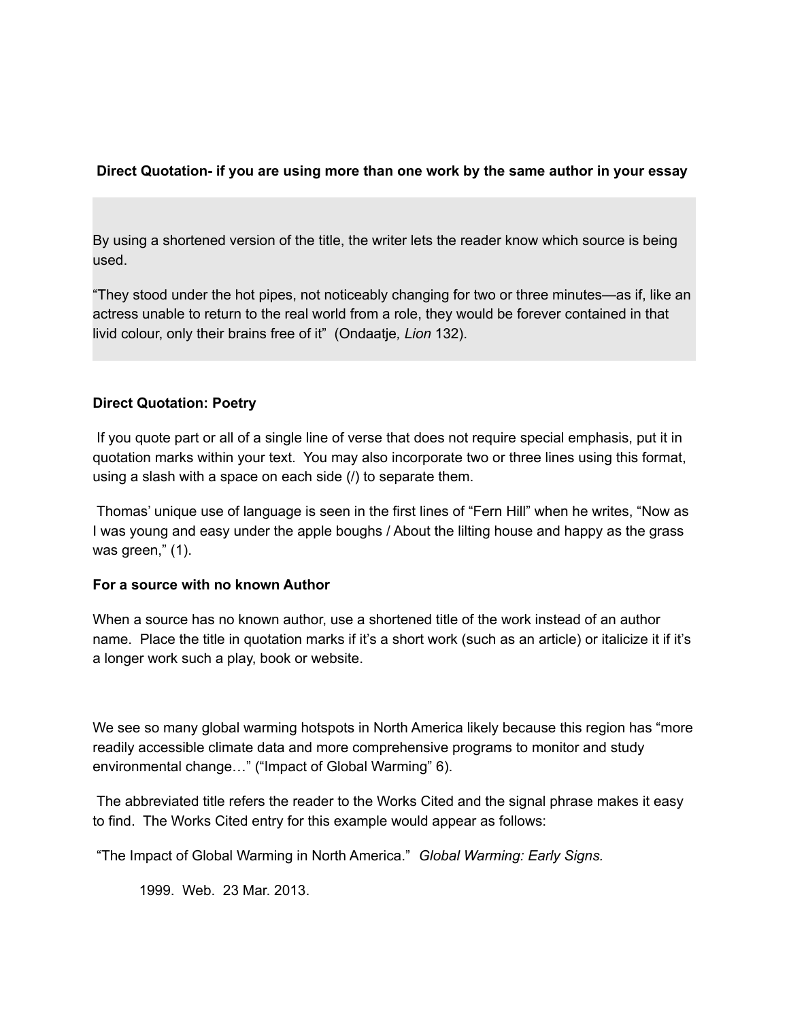## **Direct Quotation- if you are using more than one work by the same author in your essay**

By using a shortened version of the title, the writer lets the reader know which source is being used.

"They stood under the hot pipes, not noticeably changing for two or three minutes—as if, like an actress unable to return to the real world from a role, they would be forever contained in that livid colour, only their brains free of it" (Ondaatje*, Lion* 132).

## **Direct Quotation: Poetry**

If you quote part or all of a single line of verse that does not require special emphasis, put it in quotation marks within your text. You may also incorporate two or three lines using this format, using a slash with a space on each side (/) to separate them.

Thomas' unique use of language is seen in the first lines of "Fern Hill" when he writes, "Now as I was young and easy under the apple boughs / About the lilting house and happy as the grass was green," (1).

## **For a source with no known Author**

When a source has no known author, use a shortened title of the work instead of an author name. Place the title in quotation marks if it's a short work (such as an article) or italicize it if it's a longer work such a play, book or website.

We see so many global warming hotspots in North America likely because this region has "more readily accessible climate data and more comprehensive programs to monitor and study environmental change…" ("Impact of Global Warming" 6).

The abbreviated title refers the reader to the Works Cited and the signal phrase makes it easy to find. The Works Cited entry for this example would appear as follows:

"The Impact of Global Warming in North America." *Global Warming: Early Signs.*

1999. Web. 23 Mar. 2013.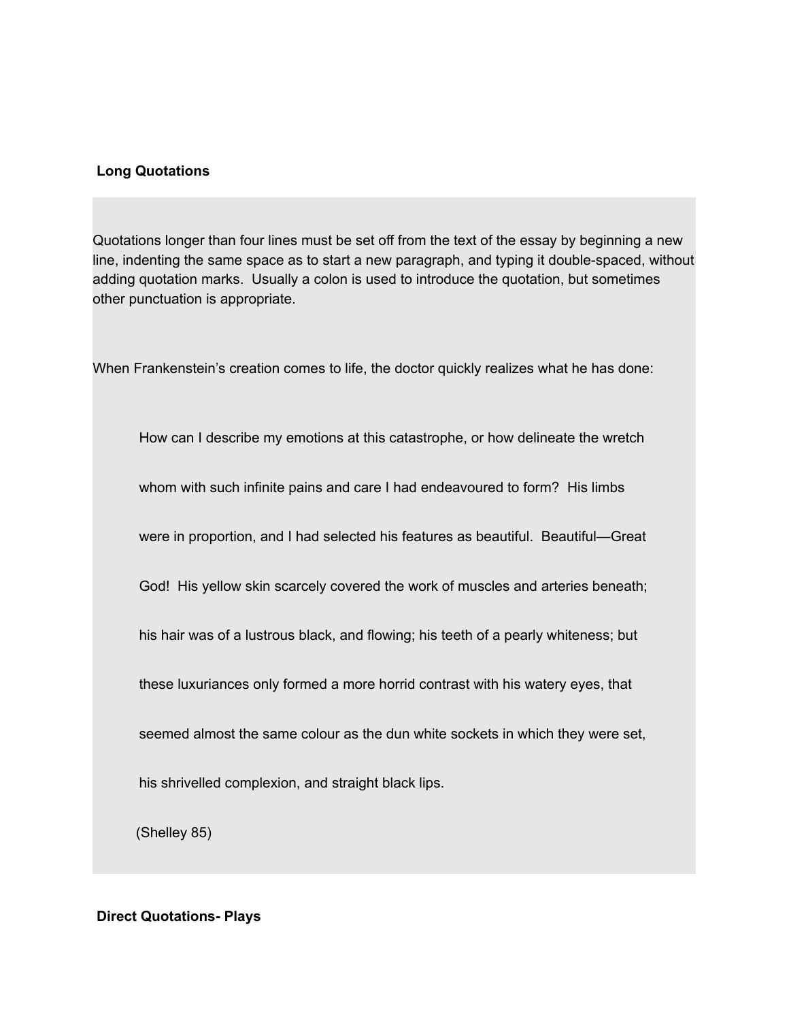#### **Long Quotations**

Quotations longer than four lines must be set off from the text of the essay by beginning a new line, indenting the same space as to start a new paragraph, and typing it double-spaced, without adding quotation marks. Usually a colon is used to introduce the quotation, but sometimes other punctuation is appropriate.

When Frankenstein's creation comes to life, the doctor quickly realizes what he has done:

How can I describe my emotions at this catastrophe, or how delineate the wretch

whom with such infinite pains and care I had endeavoured to form? His limbs

were in proportion, and I had selected his features as beautiful. Beautiful—Great

God! His yellow skin scarcely covered the work of muscles and arteries beneath;

his hair was of a lustrous black, and flowing; his teeth of a pearly whiteness; but

these luxuriances only formed a more horrid contrast with his watery eyes, that

seemed almost the same colour as the dun white sockets in which they were set,

his shrivelled complexion, and straight black lips.

(Shelley 85)

**Direct Quotations- Plays**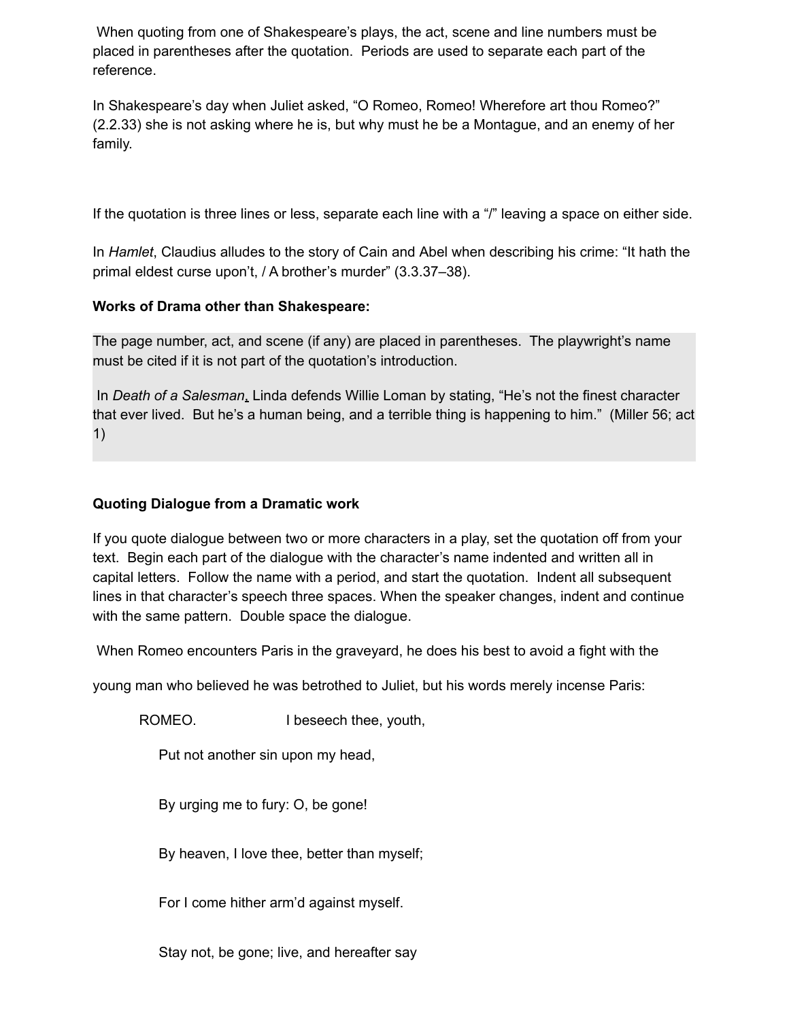When quoting from one of Shakespeare's plays, the act, scene and line numbers must be placed in parentheses after the quotation. Periods are used to separate each part of the reference.

In Shakespeare's day when Juliet asked, "O Romeo, Romeo! Wherefore art thou Romeo?" (2.2.33) she is not asking where he is, but why must he be a Montague, and an enemy of her family.

If the quotation is three lines or less, separate each line with a "/" leaving a space on either side.

In *Hamlet*, Claudius alludes to the story of Cain and Abel when describing his crime: "It hath the primal eldest curse upon't, / A brother's murder" (3.3.37–38).

## **Works of Drama other than Shakespeare:**

The page number, act, and scene (if any) are placed in parentheses. The playwright's name must be cited if it is not part of the quotation's introduction.

In *Death of a Salesman*, Linda defends Willie Loman by stating, "He's not the finest character that ever lived. But he's a human being, and a terrible thing is happening to him." (Miller 56; act 1)

## **Quoting Dialogue from a Dramatic work**

If you quote dialogue between two or more characters in a play, set the quotation off from your text. Begin each part of the dialogue with the character's name indented and written all in capital letters. Follow the name with a period, and start the quotation. Indent all subsequent lines in that character's speech three spaces. When the speaker changes, indent and continue with the same pattern. Double space the dialogue.

When Romeo encounters Paris in the graveyard, he does his best to avoid a fight with the

young man who believed he was betrothed to Juliet, but his words merely incense Paris:

ROMEO. I beseech thee, youth,

Put not another sin upon my head,

By urging me to fury: O, be gone!

By heaven, I love thee, better than myself;

For I come hither arm'd against myself.

Stay not, be gone; live, and hereafter say